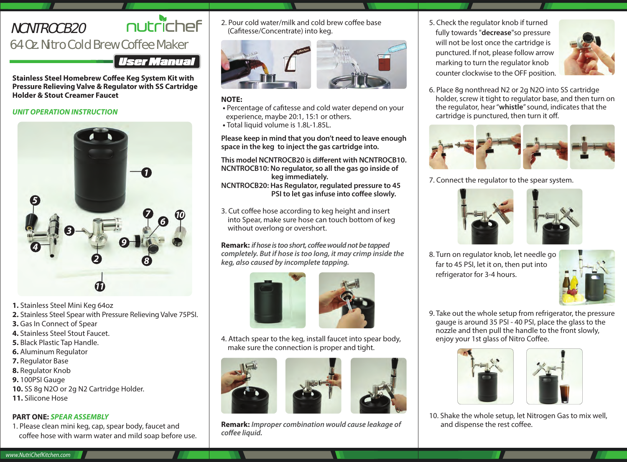# NCNTROCB20

# nutrichef

# 64 Oz. Nitro Cold Brew Coffee Maker

**User Manual** 

**Stainless Steel Homebrew Coffee Keg System Kit with Pressure Relieving Valve & Regulator with SS Cartridge Holder & Stout Creamer Faucet**

# *UNIT OPERATION INSTRUCTION*



- **1.** Stainless Steel Mini Keg 64oz
- **2.** Stainless Steel Spear with Pressure Relieving Valve 75PSI.
- **3.** Gas In Connect of Spear
- **4.** Stainless Steel Stout Faucet.
- **5.** Black Plastic Tap Handle.
- **6.** Aluminum Regulator
- **7.** Regulator Base
- **8.** Regulator Knob
- **9.** 100PSI Gauge
- **10.** SS 8g N2O or 2g N2 Cartridge Holder.
- **11.** Silicone Hose

# **PART ONE:** *SPEAR ASSEMBLY*

1. Please clean mini keg, cap, spear body, faucet and coffee hose with warm water and mild soap before use. 2. Pour cold water/milk and cold brew coffee base (Cafitesse/Concentrate) into keg.



# **NOTE:**

- Percentage of cafitesse and cold water depend on your experience, maybe 20:1, 15:1 or others.
- Total liquid volume is 1.8L-1.85L.

**Please keep in mind that you don't need to leave enough space in the keg to inject the gas cartridge into.**

**This model NCNTROCB20 is different with NCNTROCB10. NCNTROCB10: No regulator, so all the gas go inside of keg immediately.**

**NCNTROCB20: Has Regulator, regulated pressure to 45 PSI to let gas infuse into coffee slowly.** 

3. Cut coffee hose according to keg height and insert into Spear, make sure hose can touch bottom of keg without overlong or overshort.

**Remark:** *if hose is too short, coffee would not be tapped completely. But if hose is too long, it may crimp inside the keg, also caused by incomplete tapping.*





4. Attach spear to the keg, install faucet into spear body, make sure the connection is proper and tight.





**Remark:** *Improper combination would cause leakage of*   $c$ *offee liquid.* 

5. Check the regulator knob if turned fully towards "**decrease**"so pressure will not be lost once the cartridge is punctured. If not, please follow arrow marking to turn the regulator knob counter clockwise to the OFF position.



6. Place 8g nonthread N2 or 2g N2O into SS cartridge holder, screw it tight to regulator base, and then turn on the regulator, hear "**whistle**" sound, indicates that the  $c$ artridge is punctured, then turn it off.



7. Connect the regulator to the spear system.





8. Turn on regulator knob, let needle go far to 45 PSI, let it on, then put into refrigerator for 3-4 hours.



9. Take out the whole setup from refrigerator, the pressure gauge is around 35 PSI - 40 PSI, place the glass to the nozzle and then pull the handle to the front slowly, enjoy your 1st glass of Nitro Coffee.





10. Shake the whole setup, let Nitrogen Gas to mix well, and dispense the rest coffee.